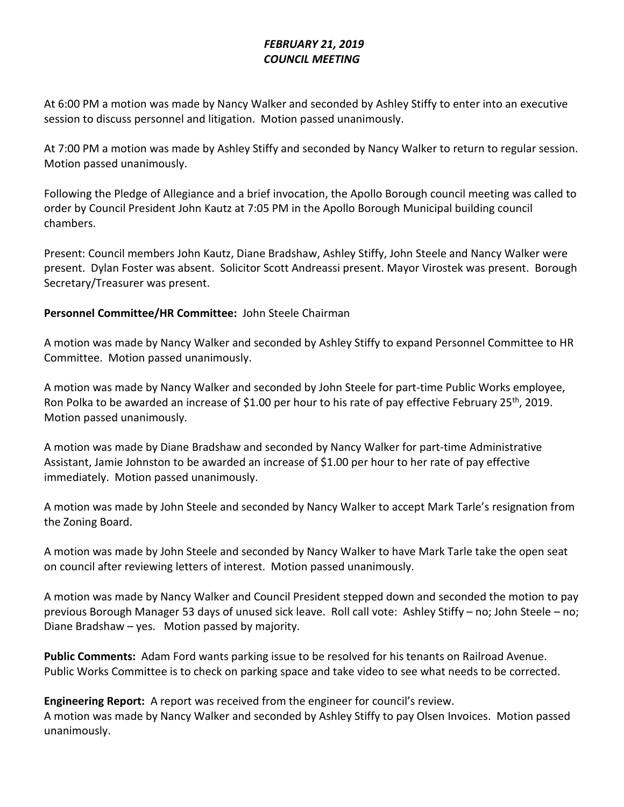# *FEBRUARY 21, 2019 COUNCIL MEETING*

At 6:00 PM a motion was made by Nancy Walker and seconded by Ashley Stiffy to enter into an executive session to discuss personnel and litigation. Motion passed unanimously.

At 7:00 PM a motion was made by Ashley Stiffy and seconded by Nancy Walker to return to regular session. Motion passed unanimously.

Following the Pledge of Allegiance and a brief invocation, the Apollo Borough council meeting was called to order by Council President John Kautz at 7:05 PM in the Apollo Borough Municipal building council chambers.

Present: Council members John Kautz, Diane Bradshaw, Ashley Stiffy, John Steele and Nancy Walker were present. Dylan Foster was absent. Solicitor Scott Andreassi present. Mayor Virostek was present. Borough Secretary/Treasurer was present.

# **Personnel Committee/HR Committee:** John Steele Chairman

A motion was made by Nancy Walker and seconded by Ashley Stiffy to expand Personnel Committee to HR Committee. Motion passed unanimously.

A motion was made by Nancy Walker and seconded by John Steele for part-time Public Works employee, Ron Polka to be awarded an increase of \$1.00 per hour to his rate of pay effective February 25<sup>th</sup>, 2019. Motion passed unanimously.

A motion was made by Diane Bradshaw and seconded by Nancy Walker for part-time Administrative Assistant, Jamie Johnston to be awarded an increase of \$1.00 per hour to her rate of pay effective immediately. Motion passed unanimously.

A motion was made by John Steele and seconded by Nancy Walker to accept Mark Tarle's resignation from the Zoning Board.

A motion was made by John Steele and seconded by Nancy Walker to have Mark Tarle take the open seat on council after reviewing letters of interest. Motion passed unanimously.

A motion was made by Nancy Walker and Council President stepped down and seconded the motion to pay previous Borough Manager 53 days of unused sick leave. Roll call vote: Ashley Stiffy – no; John Steele – no; Diane Bradshaw – yes. Motion passed by majority.

**Public Comments:** Adam Ford wants parking issue to be resolved for his tenants on Railroad Avenue. Public Works Committee is to check on parking space and take video to see what needs to be corrected.

**Engineering Report:** A report was received from the engineer for council's review. A motion was made by Nancy Walker and seconded by Ashley Stiffy to pay Olsen Invoices. Motion passed unanimously.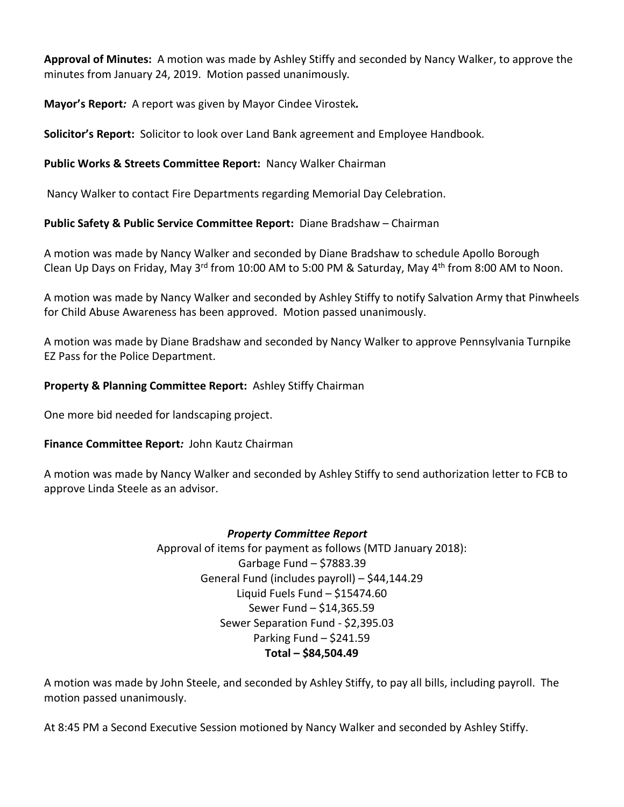**Approval of Minutes:** A motion was made by Ashley Stiffy and seconded by Nancy Walker, to approve the minutes from January 24, 2019.Motion passed unanimously*.*

**Mayor's Report***:* A report was given by Mayor Cindee Virostek*.*

**Solicitor's Report:** Solicitor to look over Land Bank agreement and Employee Handbook.

## **Public Works & Streets Committee Report:** Nancy Walker Chairman

Nancy Walker to contact Fire Departments regarding Memorial Day Celebration.

## **Public Safety & Public Service Committee Report:** Diane Bradshaw – Chairman

A motion was made by Nancy Walker and seconded by Diane Bradshaw to schedule Apollo Borough Clean Up Days on Friday, May 3<sup>rd</sup> from 10:00 AM to 5:00 PM & Saturday, May 4<sup>th</sup> from 8:00 AM to Noon.

A motion was made by Nancy Walker and seconded by Ashley Stiffy to notify Salvation Army that Pinwheels for Child Abuse Awareness has been approved. Motion passed unanimously.

A motion was made by Diane Bradshaw and seconded by Nancy Walker to approve Pennsylvania Turnpike EZ Pass for the Police Department.

## **Property & Planning Committee Report:**Ashley Stiffy Chairman

One more bid needed for landscaping project.

#### **Finance Committee Report***:* John Kautz Chairman

A motion was made by Nancy Walker and seconded by Ashley Stiffy to send authorization letter to FCB to approve Linda Steele as an advisor.

#### *Property Committee Report*

Approval of items for payment as follows (MTD January 2018): Garbage Fund – \$7883.39 General Fund (includes payroll) – \$44,144.29 Liquid Fuels Fund – \$15474.60 Sewer Fund – \$14,365.59 Sewer Separation Fund - \$2,395.03 Parking Fund – \$241.59 **Total – \$84,504.49**

A motion was made by John Steele, and seconded by Ashley Stiffy, to pay all bills, including payroll. The motion passed unanimously.

At 8:45 PM a Second Executive Session motioned by Nancy Walker and seconded by Ashley Stiffy.